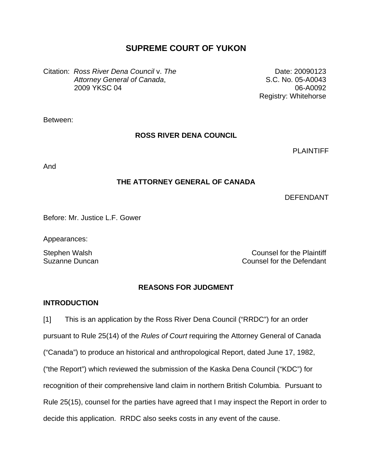# **SUPREME COURT OF YUKON**

Citation: *Ross River Dena Council* v. *The Attorney General of Canada*, 2009 YKSC 04

Date: 20090123 S.C. No. 05-A0043 06-A0092 Registry: Whitehorse

Between:

### **ROSS RIVER DENA COUNCIL**

PLAINTIFF

And

### **THE ATTORNEY GENERAL OF CANADA**

DEFENDANT

Before: Mr. Justice L.F. Gower

Appearances:

Stephen Walsh Counsel for the Plaintiff Suzanne Duncan **Counsel for the Defendant** 

## **REASONS FOR JUDGMENT**

### **INTRODUCTION**

[1] This is an application by the Ross River Dena Council ("RRDC") for an order pursuant to Rule 25(14) of the *Rules of Court* requiring the Attorney General of Canada ("Canada") to produce an historical and anthropological Report, dated June 17, 1982, ("the Report") which reviewed the submission of the Kaska Dena Council ("KDC") for recognition of their comprehensive land claim in northern British Columbia. Pursuant to Rule 25(15), counsel for the parties have agreed that I may inspect the Report in order to decide this application. RRDC also seeks costs in any event of the cause.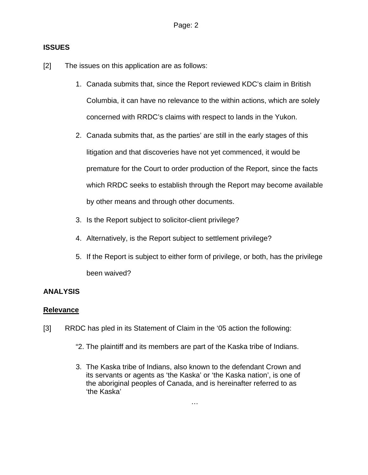### **ISSUES**

- [2] The issues on this application are as follows:
	- 1. Canada submits that, since the Report reviewed KDC's claim in British Columbia, it can have no relevance to the within actions, which are solely concerned with RRDC's claims with respect to lands in the Yukon.
	- 2. Canada submits that, as the parties' are still in the early stages of this litigation and that discoveries have not yet commenced, it would be premature for the Court to order production of the Report, since the facts which RRDC seeks to establish through the Report may become available by other means and through other documents.
	- 3. Is the Report subject to solicitor-client privilege?
	- 4. Alternatively, is the Report subject to settlement privilege?
	- 5. If the Report is subject to either form of privilege, or both, has the privilege been waived?

## **ANALYSIS**

### **Relevance**

- [3] RRDC has pled in its Statement of Claim in the '05 action the following:
	- "2. The plaintiff and its members are part of the Kaska tribe of Indians.
	- 3. The Kaska tribe of Indians, also known to the defendant Crown and its servants or agents as 'the Kaska' or 'the Kaska nation', is one of the aboriginal peoples of Canada, and is hereinafter referred to as 'the Kaska'

…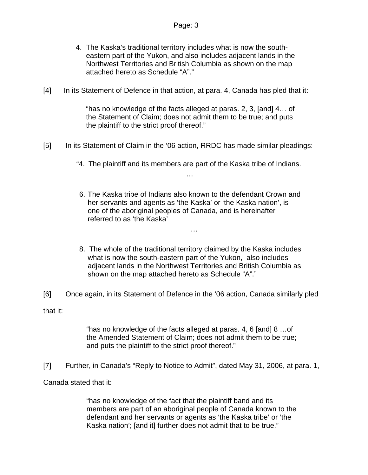- 4. The Kaska's traditional territory includes what is now the southeastern part of the Yukon, and also includes adjacent lands in the Northwest Territories and British Columbia as shown on the map attached hereto as Schedule "A"."
- [4] In its Statement of Defence in that action, at para. 4, Canada has pled that it:

"has no knowledge of the facts alleged at paras. 2, 3, [and] 4… of the Statement of Claim; does not admit them to be true; and puts the plaintiff to the strict proof thereof."

- [5] In its Statement of Claim in the '06 action, RRDC has made similar pleadings:
	- "4. The plaintiff and its members are part of the Kaska tribe of Indians. …
	- 6. The Kaska tribe of Indians also known to the defendant Crown and her servants and agents as 'the Kaska' or 'the Kaska nation', is one of the aboriginal peoples of Canada, and is hereinafter referred to as 'the Kaska'

…

- 8. The whole of the traditional territory claimed by the Kaska includes what is now the south-eastern part of the Yukon, also includes adjacent lands in the Northwest Territories and British Columbia as shown on the map attached hereto as Schedule "A"."
- [6] Once again, in its Statement of Defence in the '06 action, Canada similarly pled that it:

"has no knowledge of the facts alleged at paras. 4, 6 [and] 8 …of the Amended Statement of Claim; does not admit them to be true; and puts the plaintiff to the strict proof thereof."

[7] Further, in Canada's "Reply to Notice to Admit", dated May 31, 2006, at para. 1,

Canada stated that it:

"has no knowledge of the fact that the plaintiff band and its members are part of an aboriginal people of Canada known to the defendant and her servants or agents as 'the Kaska tribe' or 'the Kaska nation'; [and it] further does not admit that to be true."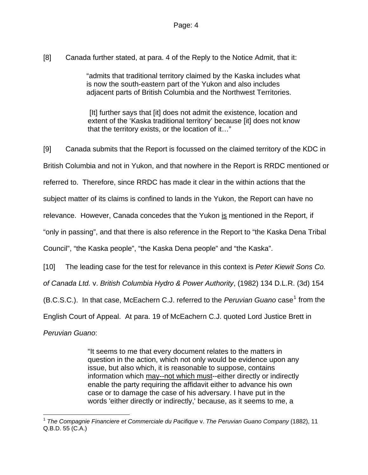[8] Canada further stated, at para. 4 of the Reply to the Notice Admit, that it:

"admits that traditional territory claimed by the Kaska includes what is now the south-eastern part of the Yukon and also includes adjacent parts of British Columbia and the Northwest Territories.

[It] further says that [it] does not admit the existence, location and extent of the 'Kaska traditional territory' because [it] does not know that the territory exists, or the location of it…"

[9] Canada submits that the Report is focussed on the claimed territory of the KDC in British Columbia and not in Yukon, and that nowhere in the Report is RRDC mentioned or referred to. Therefore, since RRDC has made it clear in the within actions that the subject matter of its claims is confined to lands in the Yukon, the Report can have no relevance. However, Canada concedes that the Yukon is mentioned in the Report, if "only in passing", and that there is also reference in the Report to "the Kaska Dena Tribal Council", "the Kaska people", "the Kaska Dena people" and "the Kaska". [10] The leading case for the test for relevance in this context is *Peter Kiewit Sons Co. of Canada Ltd.* v. *British Columbia Hydro & Power Authority*, (1982) 134 D.L.R. (3d) 154 (B.C.S.C.). In that case, McEachern C.J. referred to the *Peruvian Guano* case<sup>[1](#page-3-0)</sup> from the

English Court of Appeal. At para. 19 of McEachern C.J. quoted Lord Justice Brett in

*Peruvian Guano*:

"It seems to me that every document relates to the matters in question in the action, which not only would be evidence upon any issue, but also which, it is reasonable to suppose, contains information which may--not which must--either directly or indirectly enable the party requiring the affidavit either to advance his own case or to damage the case of his adversary. I have put in the words 'either directly or indirectly,' because, as it seems to me, a

<span id="page-3-0"></span> $\overline{a}$ <sup>1</sup> *The Compagnie Financiere et Commerciale du Pacifique* v. *The Peruvian Guano Company* (1882), 11 Q.B.D. 55 (C.A.)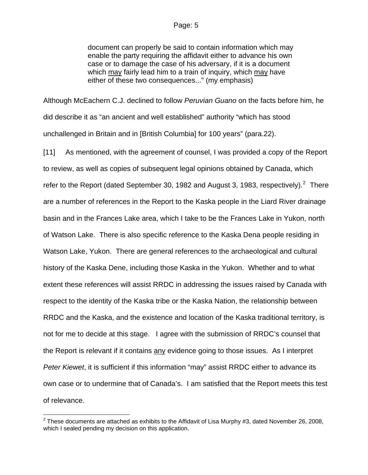#### Page: 5

document can properly be said to contain information which may enable the party requiring the affidavit either to advance his own case or to damage the case of his adversary, if it is a document which may fairly lead him to a train of inquiry, which may have either of these two consequences..." (my emphasis)

Although McEachern C.J. declined to follow *Peruvian Guano* on the facts before him, he did describe it as "an ancient and well established" authority "which has stood unchallenged in Britain and in [British Columbia] for 100 years" (para.22).

[11] As mentioned, with the agreement of counsel, I was provided a copy of the Report to review, as well as copies of subsequent legal opinions obtained by Canada, which refer to the Report (dated September 30, 198[2](#page-4-0) and August 3, 1983, respectively).<sup>2</sup> There are a number of references in the Report to the Kaska people in the Liard River drainage basin and in the Frances Lake area, which I take to be the Frances Lake in Yukon, north of Watson Lake. There is also specific reference to the Kaska Dena people residing in Watson Lake, Yukon. There are general references to the archaeological and cultural history of the Kaska Dene, including those Kaska in the Yukon. Whether and to what extent these references will assist RRDC in addressing the issues raised by Canada with respect to the identity of the Kaska tribe or the Kaska Nation, the relationship between RRDC and the Kaska, and the existence and location of the Kaska traditional territory, is not for me to decide at this stage. I agree with the submission of RRDC's counsel that the Report is relevant if it contains any evidence going to those issues. As I interpret *Peter Kiewet*, it is sufficient if this information "may" assist RRDC either to advance its own case or to undermine that of Canada's. I am satisfied that the Report meets this test of relevance.

<span id="page-4-0"></span> 2 These documents are attached as exhibits to the Affidavit of Lisa Murphy #3, dated November 26, 2008, which I sealed pending my decision on this application.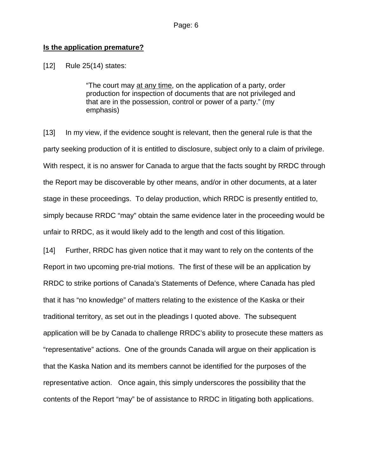### **Is the application premature?**

[12] Rule 25(14) states:

"The court may at any time, on the application of a party, order production for inspection of documents that are not privileged and that are in the possession, control or power of a party." (my emphasis)

[13] In my view, if the evidence sought is relevant, then the general rule is that the party seeking production of it is entitled to disclosure, subject only to a claim of privilege. With respect, it is no answer for Canada to argue that the facts sought by RRDC through the Report may be discoverable by other means, and/or in other documents, at a later stage in these proceedings. To delay production, which RRDC is presently entitled to, simply because RRDC "may" obtain the same evidence later in the proceeding would be unfair to RRDC, as it would likely add to the length and cost of this litigation.

[14] Further, RRDC has given notice that it may want to rely on the contents of the Report in two upcoming pre-trial motions. The first of these will be an application by RRDC to strike portions of Canada's Statements of Defence, where Canada has pled that it has "no knowledge" of matters relating to the existence of the Kaska or their traditional territory, as set out in the pleadings I quoted above. The subsequent application will be by Canada to challenge RRDC's ability to prosecute these matters as "representative" actions. One of the grounds Canada will argue on their application is that the Kaska Nation and its members cannot be identified for the purposes of the representative action. Once again, this simply underscores the possibility that the contents of the Report "may" be of assistance to RRDC in litigating both applications.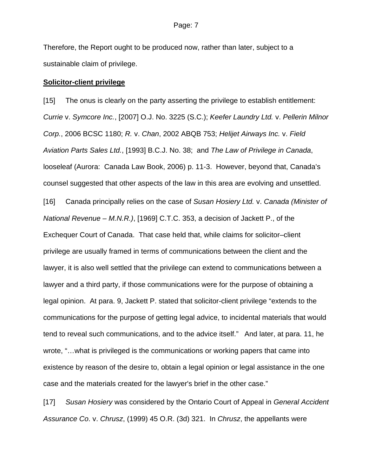Therefore, the Report ought to be produced now, rather than later, subject to a sustainable claim of privilege.

#### **Solicitor-client privilege**

[15] The onus is clearly on the party asserting the privilege to establish entitlement: *Currie* v. *Symcore Inc.*, [2007] O.J. No. 3225 (S.C.); *Keefer Laundry Ltd.* v. *Pellerin Milnor Corp.*, 2006 BCSC 1180; *R.* v. *Chan*, 2002 ABQB 753; *Helijet Airways Inc.* v. *Field Aviation Parts Sales Ltd.*, [1993] B.C.J. No. 38; and *The Law of Privilege in Canada*, looseleaf (Aurora: Canada Law Book, 2006) p. 11-3. However, beyond that, Canada's counsel suggested that other aspects of the law in this area are evolving and unsettled.

[16] Canada principally relies on the case of *Susan Hosiery Ltd.* v. *Canada (Minister of National Revenue – M.N.R.)*, [1969] C.T.C. 353, a decision of Jackett P., of the Exchequer Court of Canada. That case held that, while claims for solicitor–client privilege are usually framed in terms of communications between the client and the lawyer, it is also well settled that the privilege can extend to communications between a lawyer and a third party, if those communications were for the purpose of obtaining a legal opinion. At para. 9, Jackett P. stated that solicitor-client privilege "extends to the communications for the purpose of getting legal advice, to incidental materials that would tend to reveal such communications, and to the advice itself." And later, at para. 11, he wrote, "…what is privileged is the communications or working papers that came into existence by reason of the desire to, obtain a legal opinion or legal assistance in the one case and the materials created for the lawyer's brief in the other case."

[17] *Susan Hosiery* was considered by the Ontario Court of Appeal in *General Accident Assurance Co*. v. *Chrusz*, (1999) 45 O.R. (3d) 321. In *Chrusz*, the appellants were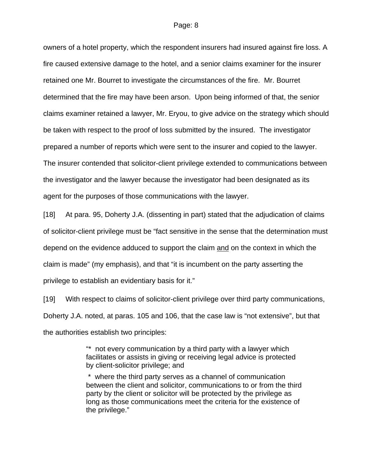#### Page: 8

owners of a hotel property, which the respondent insurers had insured against fire loss. A fire caused extensive damage to the hotel, and a senior claims examiner for the insurer retained one Mr. Bourret to investigate the circumstances of the fire. Mr. Bourret determined that the fire may have been arson. Upon being informed of that, the senior claims examiner retained a lawyer, Mr. Eryou, to give advice on the strategy which should be taken with respect to the proof of loss submitted by the insured. The investigator prepared a number of reports which were sent to the insurer and copied to the lawyer. The insurer contended that solicitor-client privilege extended to communications between the investigator and the lawyer because the investigator had been designated as its agent for the purposes of those communications with the lawyer.

[18] At para. 95, Doherty J.A. (dissenting in part) stated that the adjudication of claims of solicitor-client privilege must be "fact sensitive in the sense that the determination must depend on the evidence adduced to support the claim and on the context in which the claim is made" (my emphasis), and that "it is incumbent on the party asserting the privilege to establish an evidentiary basis for it."

[19] With respect to claims of solicitor-client privilege over third party communications, Doherty J.A. noted, at paras. 105 and 106, that the case law is "not extensive", but that the authorities establish two principles:

> "\* not every communication by a third party with a lawyer which facilitates or assists in giving or receiving legal advice is protected by client-solicitor privilege; and

 \* where the third party serves as a channel of communication between the client and solicitor, communications to or from the third party by the client or solicitor will be protected by the privilege as long as those communications meet the criteria for the existence of the privilege."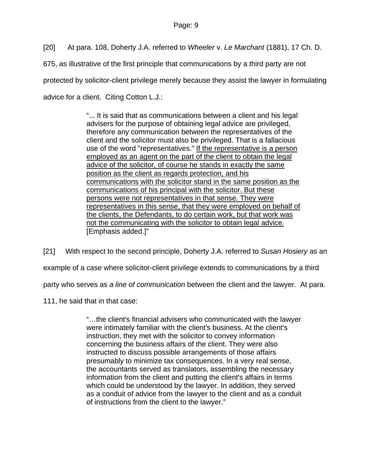[20] At para. 108, Doherty J.A. referred to *Wheeler* v. *Le Marchant* (1881), 17 Ch. D.

675, as illustrative of the first principle that communications by a third party are not protected by solicitor-client privilege merely because they assist the lawyer in formulating advice for a client. Citing Cotton L.J.:

> "... It is said that as communications between a client and his legal advisers for the purpose of obtaining legal advice are privileged, therefore any communication between the representatives of the client and the solicitor must also be privileged. That is a fallacious use of the word "representatives." If the representative is a person employed as an agent on the part of the client to obtain the legal advice of the solicitor, of course he stands in exactly the same position as the client as regards protection, and his communications with the solicitor stand in the same position as the communications of his principal with the solicitor. But these persons were not representatives in that sense. They were representatives in this sense, that they were employed on behalf of the clients, the Defendants, to do certain work, but that work was not the communicating with the solicitor to obtain legal advice. [Emphasis added.]"

[21] With respect to the second principle, Doherty J.A. referred to *Susan Hosiery* as an example of a case where solicitor-client privilege extends to communications by a third party who serves as *a line of communication* between the client and the lawyer. At para.

111, he said that in that case:

"…the client's financial advisers who communicated with the lawyer were intimately familiar with the client's business. At the client's instruction, they met with the solicitor to convey information concerning the business affairs of the client. They were also instructed to discuss possible arrangements of those affairs presumably to minimize tax consequences. In a very real sense, the accountants served as translators, assembling the necessary information from the client and putting the client's affairs in terms which could be understood by the lawyer. In addition, they served as a conduit of advice from the lawyer to the client and as a conduit of instructions from the client to the lawyer."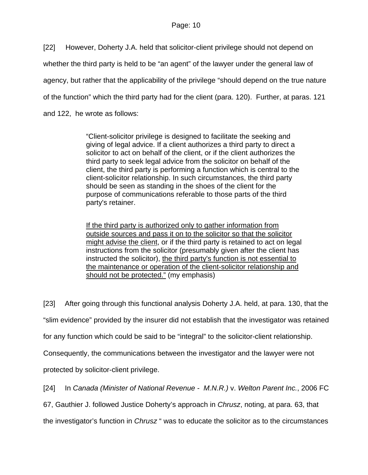[22] However, Doherty J.A. held that solicitor-client privilege should not depend on whether the third party is held to be "an agent" of the lawyer under the general law of agency, but rather that the applicability of the privilege "should depend on the true nature of the function" which the third party had for the client (para. 120). Further, at paras. 121 and 122, he wrote as follows:

> "Client-solicitor privilege is designed to facilitate the seeking and giving of legal advice. If a client authorizes a third party to direct a solicitor to act on behalf of the client, or if the client authorizes the third party to seek legal advice from the solicitor on behalf of the client, the third party is performing a function which is central to the client-solicitor relationship. In such circumstances, the third party should be seen as standing in the shoes of the client for the purpose of communications referable to those parts of the third party's retainer.

> If the third party is authorized only to gather information from outside sources and pass it on to the solicitor so that the solicitor might advise the client, or if the third party is retained to act on legal instructions from the solicitor (presumably given after the client has instructed the solicitor), the third party's function is not essential to the maintenance or operation of the client-solicitor relationship and should not be protected." (my emphasis)

[23] After going through this functional analysis Doherty J.A. held, at para. 130, that the "slim evidence" provided by the insurer did not establish that the investigator was retained for any function which could be said to be "integral" to the solicitor-client relationship. Consequently, the communications between the investigator and the lawyer were not protected by solicitor-client privilege.

[24] In *Canada (Minister of National Revenue - M.N.R.)* v. *Welton Parent Inc.*, 2006 FC

67, Gauthier J. followed Justice Doherty's approach in *Chrusz*, noting, at para. 63, that

the investigator's function in *Chrusz* " was to educate the solicitor as to the circumstances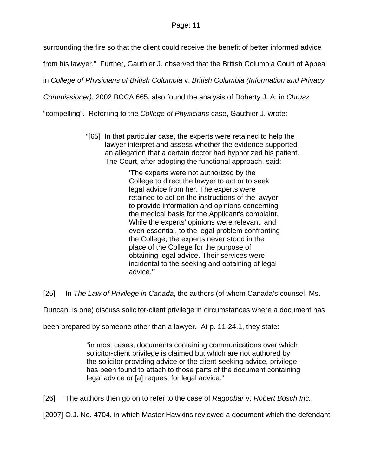### Page: 11

surrounding the fire so that the client could receive the benefit of better informed advice

from his lawyer." Further, Gauthier J. observed that the British Columbia Court of Appeal

in *College of Physicians of British Columbia* v. *British Columbia (Information and Privacy* 

*Commissioner)*, 2002 BCCA 665, also found the analysis of Doherty J. A. in *Chrusz*

"compelling". Referring to the *College of Physicians* case, Gauthier J. wrote:

"[65] In that particular case, the experts were retained to help the lawyer interpret and assess whether the evidence supported an allegation that a certain doctor had hypnotized his patient. The Court, after adopting the functional approach, said:

> 'The experts were not authorized by the College to direct the lawyer to act or to seek legal advice from her. The experts were retained to act on the instructions of the lawyer to provide information and opinions concerning the medical basis for the Applicant's complaint. While the experts' opinions were relevant, and even essential, to the legal problem confronting the College, the experts never stood in the place of the College for the purpose of obtaining legal advice. Their services were incidental to the seeking and obtaining of legal advice.'"

[25] In *The Law of Privilege in Canada*, the authors (of whom Canada's counsel, Ms.

Duncan, is one) discuss solicitor-client privilege in circumstances where a document has

been prepared by someone other than a lawyer. At p. 11-24.1, they state:

"in most cases, documents containing communications over which solicitor-client privilege is claimed but which are not authored by the solicitor providing advice or the client seeking advice, privilege has been found to attach to those parts of the document containing legal advice or [a] request for legal advice."

[26] The authors then go on to refer to the case of *Ragoobar* v. *Robert Bosch Inc.*,

[2007] O.J. No. 4704, in which Master Hawkins reviewed a document which the defendant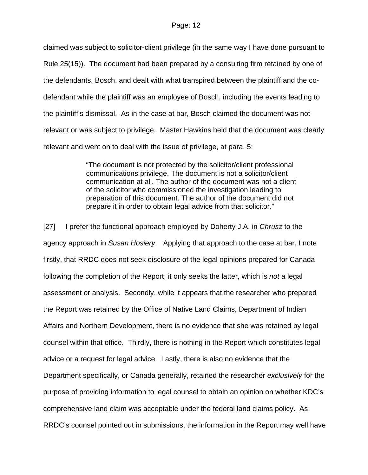claimed was subject to solicitor-client privilege (in the same way I have done pursuant to Rule 25(15)). The document had been prepared by a consulting firm retained by one of the defendants, Bosch, and dealt with what transpired between the plaintiff and the codefendant while the plaintiff was an employee of Bosch, including the events leading to the plaintiff's dismissal. As in the case at bar, Bosch claimed the document was not relevant or was subject to privilege. Master Hawkins held that the document was clearly relevant and went on to deal with the issue of privilege, at para. 5:

> "The document is not protected by the solicitor/client professional communications privilege. The document is not a solicitor/client communication at all. The author of the document was not a client of the solicitor who commissioned the investigation leading to preparation of this document. The author of the document did not prepare it in order to obtain legal advice from that solicitor."

[27] I prefer the functional approach employed by Doherty J.A. in *Chrusz* to the agency approach in *Susan Hosiery*. Applying that approach to the case at bar, I note firstly, that RRDC does not seek disclosure of the legal opinions prepared for Canada following the completion of the Report; it only seeks the latter, which is *not* a legal assessment or analysis. Secondly, while it appears that the researcher who prepared the Report was retained by the Office of Native Land Claims, Department of Indian Affairs and Northern Development, there is no evidence that she was retained by legal counsel within that office. Thirdly, there is nothing in the Report which constitutes legal advice or a request for legal advice. Lastly, there is also no evidence that the Department specifically, or Canada generally, retained the researcher *exclusively* for the purpose of providing information to legal counsel to obtain an opinion on whether KDC's comprehensive land claim was acceptable under the federal land claims policy. As RRDC's counsel pointed out in submissions, the information in the Report may well have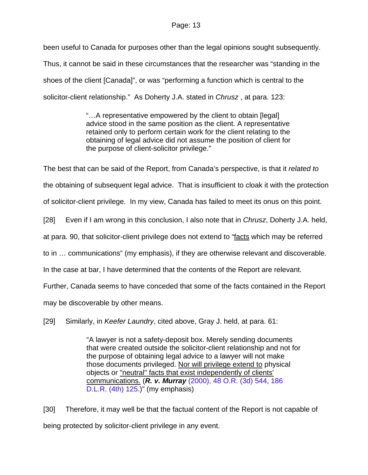been useful to Canada for purposes other than the legal opinions sought subsequently. Thus, it cannot be said in these circumstances that the researcher was "standing in the shoes of the client [Canada]", or was "performing a function which is central to the solicitor-client relationship." As Doherty J.A. stated in *Chrusz* , at para. 123:

> "…A representative empowered by the client to obtain [legal] advice stood in the same position as the client. A representative retained only to perform certain work for the client relating to the obtaining of legal advice did not assume the position of client for the purpose of client-solicitor privilege."

The best that can be said of the Report, from Canada's perspective, is that it *related to*

the obtaining of subsequent legal advice. That is insufficient to cloak it with the protection

of solicitor-client privilege. In my view, Canada has failed to meet its onus on this point.

[28] Even if I am wrong in this conclusion, I also note that in *Chrusz*, Doherty J.A. held,

at para. 90, that solicitor-client privilege does not extend to "facts which may be referred

to in … communications" (my emphasis), if they are otherwise relevant and discoverable.

In the case at bar, I have determined that the contents of the Report are relevant.

Further, Canada seems to have conceded that some of the facts contained in the Report

may be discoverable by other means.

[29] Similarly, in *Keefer Laundry*, cited above, Gray J. held, at para. 61:

"A lawyer is not a safety-deposit box. Merely sending documents that were created outside the solicitor-client relationship and not for the purpose of obtaining legal advice to a lawyer will not make those documents privileged. Nor will privilege extend to physical objects or "neutral" facts that exist independently of clients' communications. (*R. v. Murray* [\(2000\), 48 O.R. \(3d\) 544](http://www.lexisnexis.com/ca/legal/search/runRemoteLink.do?service=citation&langcountry=CA&risb=21_T5586060896&A=0.975769868911328&linkInfo=F%23CA%23OR3%23year%252000%25page%25544%25decisiondate%252000%25vol%2548%25sel2%2548%25sel1%252000%25&bct=A), [186](http://www.lexisnexis.com/ca/legal/search/runRemoteLink.do?service=citation&langcountry=CA&risb=21_T5586060896&A=0.26954673965479337&linkInfo=F%23CA%23DLR4%23page%25125%25vol%25186%25sel2%25186%25&bct=A)  [D.L.R. \(4th\) 125](http://www.lexisnexis.com/ca/legal/search/runRemoteLink.do?service=citation&langcountry=CA&risb=21_T5586060896&A=0.26954673965479337&linkInfo=F%23CA%23DLR4%23page%25125%25vol%25186%25sel2%25186%25&bct=A).)" (my emphasis)

[30] Therefore, it may well be that the factual content of the Report is not capable of being protected by solicitor-client privilege in any event.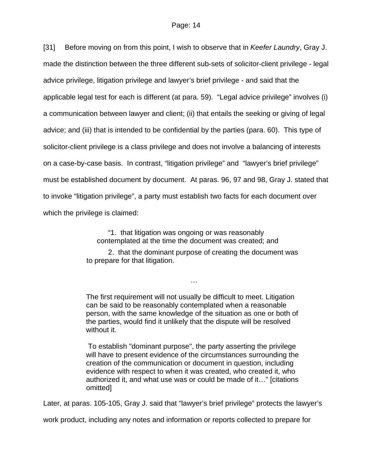[31] Before moving on from this point, I wish to observe that in *Keefer Laundry*, Gray J. made the distinction between the three different sub-sets of solicitor-client privilege - legal advice privilege, litigation privilege and lawyer's brief privilege - and said that the applicable legal test for each is different (at para. 59). "Legal advice privilege" involves (i) a communication between lawyer and client; (ii) that entails the seeking or giving of legal advice; and (iii) that is intended to be confidential by the parties (para. 60). This type of solicitor-client privilege is a class privilege and does not involve a balancing of interests on a case-by-case basis. In contrast, "litigation privilege" and "lawyer's brief privilege" must be established document by document. At paras. 96, 97 and 98, Gray J. stated that to invoke "litigation privilege", a party must establish two facts for each document over which the privilege is claimed:

> "1. that litigation was ongoing or was reasonably contemplated at the time the document was created; and

2. that the dominant purpose of creating the document was to prepare for that litigation.

…

The first requirement will not usually be difficult to meet. Litigation can be said to be reasonably contemplated when a reasonable person, with the same knowledge of the situation as one or both of the parties, would find it unlikely that the dispute will be resolved without it.

 To establish "dominant purpose", the party asserting the privilege will have to present evidence of the circumstances surrounding the creation of the communication or document in question, including evidence with respect to when it was created, who created it, who authorized it, and what use was or could be made of it…" [citations omitted]

Later, at paras. 105-105, Gray J. said that "lawyer's brief privilege" protects the lawyer's

work product, including any notes and information or reports collected to prepare for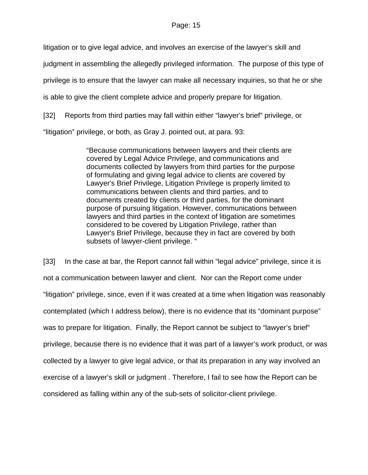#### Page: 15

litigation or to give legal advice, and involves an exercise of the lawyer's skill and

judgment in assembling the allegedly privileged information. The purpose of this type of

privilege is to ensure that the lawyer can make all necessary inquiries, so that he or she

is able to give the client complete advice and properly prepare for litigation.

[32] Reports from third parties may fall within either "lawyer's brief" privilege, or

"litigation" privilege, or both, as Gray J. pointed out, at para. 93:

"Because communications between lawyers and their clients are covered by Legal Advice Privilege, and communications and documents collected by lawyers from third parties for the purpose of formulating and giving legal advice to clients are covered by Lawyer's Brief Privilege, Litigation Privilege is properly limited to communications between clients and third parties, and to documents created by clients or third parties, for the dominant purpose of pursuing litigation. However, communications between lawyers and third parties in the context of litigation are sometimes considered to be covered by Litigation Privilege, rather than Lawyer's Brief Privilege, because they in fact are covered by both subsets of lawyer-client privilege. "

[33] In the case at bar, the Report cannot fall within "legal advice" privilege, since it is not a communication between lawyer and client. Nor can the Report come under "litigation" privilege, since, even if it was created at a time when litigation was reasonably contemplated (which I address below), there is no evidence that its "dominant purpose" was to prepare for litigation. Finally, the Report cannot be subject to "lawyer's brief" privilege, because there is no evidence that it was part of a lawyer's work product, or was collected by a lawyer to give legal advice, or that its preparation in any way involved an exercise of a lawyer's skill or judgment . Therefore, I fail to see how the Report can be considered as falling within any of the sub-sets of solicitor-client privilege.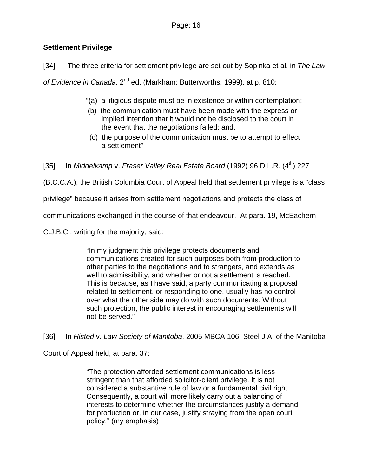## **Settlement Privilege**

[34] The three criteria for settlement privilege are set out by Sopinka et al. in *The Law* 

of Evidence in Canada, 2<sup>nd</sup> ed. (Markham: Butterworths, 1999), at p. 810:

- "(a) a litigious dispute must be in existence or within contemplation;
- (b) the communication must have been made with the express or implied intention that it would not be disclosed to the court in the event that the negotiations failed; and,
- (c) the purpose of the communication must be to attempt to effect a settlement"

[35] In *Middelkamp* v. *Fraser Valley Real Estate Board* (1992) 96 D.L.R. (4th) 227

(B.C.C.A.), the British Columbia Court of Appeal held that settlement privilege is a "class

privilege" because it arises from settlement negotiations and protects the class of

communications exchanged in the course of that endeavour. At para. 19, McEachern

C.J.B.C., writing for the majority, said:

"In my judgment this privilege protects documents and communications created for such purposes both from production to other parties to the negotiations and to strangers, and extends as well to admissibility, and whether or not a settlement is reached. This is because, as I have said, a party communicating a proposal related to settlement, or responding to one, usually has no control over what the other side may do with such documents. Without such protection, the public interest in encouraging settlements will not be served."

[36] In *Histed* v. *Law Society of Manitoba*, 2005 MBCA 106, Steel J.A. of the Manitoba

Court of Appeal held, at para. 37:

"The protection afforded settlement communications is less stringent than that afforded solicitor-client privilege. It is not considered a substantive rule of law or a fundamental civil right. Consequently, a court will more likely carry out a balancing of interests to determine whether the circumstances justify a demand for production or, in our case, justify straying from the open court policy." (my emphasis)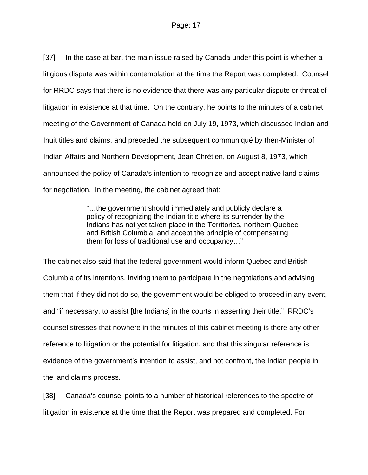[37] In the case at bar, the main issue raised by Canada under this point is whether a litigious dispute was within contemplation at the time the Report was completed. Counsel for RRDC says that there is no evidence that there was any particular dispute or threat of litigation in existence at that time. On the contrary, he points to the minutes of a cabinet meeting of the Government of Canada held on July 19, 1973, which discussed Indian and Inuit titles and claims, and preceded the subsequent communiqué by then-Minister of Indian Affairs and Northern Development, Jean Chrétien, on August 8, 1973, which announced the policy of Canada's intention to recognize and accept native land claims for negotiation. In the meeting, the cabinet agreed that:

> "…the government should immediately and publicly declare a policy of recognizing the Indian title where its surrender by the Indians has not yet taken place in the Territories, northern Quebec and British Columbia, and accept the principle of compensating them for loss of traditional use and occupancy…"

The cabinet also said that the federal government would inform Quebec and British Columbia of its intentions, inviting them to participate in the negotiations and advising them that if they did not do so, the government would be obliged to proceed in any event, and "if necessary, to assist [the Indians] in the courts in asserting their title." RRDC's counsel stresses that nowhere in the minutes of this cabinet meeting is there any other reference to litigation or the potential for litigation, and that this singular reference is evidence of the government's intention to assist, and not confront, the Indian people in the land claims process.

[38] Canada's counsel points to a number of historical references to the spectre of litigation in existence at the time that the Report was prepared and completed. For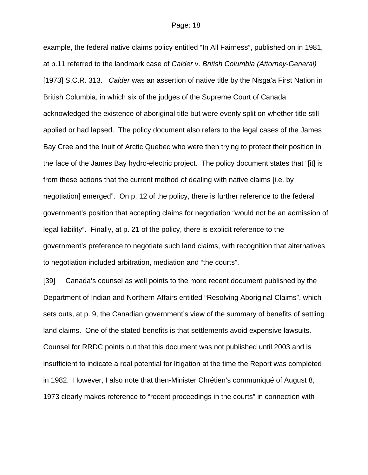example, the federal native claims policy entitled "In All Fairness", published on in 1981, at p.11 referred to the landmark case of *Calder* v. *British Columbia (Attorney-General)*  [1973] S.C.R. 313. *Calder* was an assertion of native title by the Nisga'a First Nation in British Columbia, in which six of the judges of the Supreme Court of Canada acknowledged the existence of aboriginal title but were evenly split on whether title still applied or had lapsed. The policy document also refers to the legal cases of the James Bay Cree and the Inuit of Arctic Quebec who were then trying to protect their position in the face of the James Bay hydro-electric project. The policy document states that "[it] is from these actions that the current method of dealing with native claims [i.e. by negotiation] emerged". On p. 12 of the policy, there is further reference to the federal government's position that accepting claims for negotiation "would not be an admission of legal liability". Finally, at p. 21 of the policy, there is explicit reference to the government's preference to negotiate such land claims, with recognition that alternatives to negotiation included arbitration, mediation and "the courts".

[39] Canada's counsel as well points to the more recent document published by the Department of Indian and Northern Affairs entitled "Resolving Aboriginal Claims", which sets outs, at p. 9, the Canadian government's view of the summary of benefits of settling land claims. One of the stated benefits is that settlements avoid expensive lawsuits. Counsel for RRDC points out that this document was not published until 2003 and is insufficient to indicate a real potential for litigation at the time the Report was completed in 1982. However, I also note that then-Minister Chrétien's communiqué of August 8, 1973 clearly makes reference to "recent proceedings in the courts" in connection with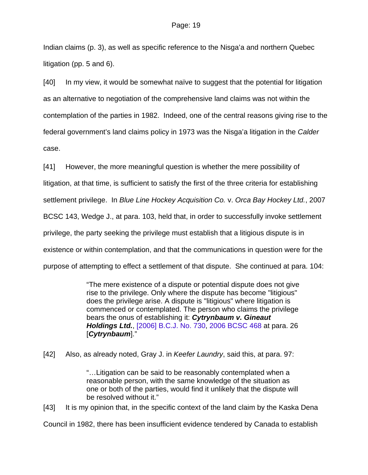Indian claims (p. 3), as well as specific reference to the Nisga'a and northern Quebec litigation (pp. 5 and 6).

[40] In my view, it would be somewhat naïve to suggest that the potential for litigation as an alternative to negotiation of the comprehensive land claims was not within the contemplation of the parties in 1982. Indeed, one of the central reasons giving rise to the federal government's land claims policy in 1973 was the Nisga'a litigation in the *Calder* case.

[41] However, the more meaningful question is whether the mere possibility of litigation, at that time, is sufficient to satisfy the first of the three criteria for establishing settlement privilege. In *Blue Line Hockey Acquisition Co.* v. *Orca Bay Hockey Ltd.*, 2007 BCSC 143, Wedge J., at para. 103, held that, in order to successfully invoke settlement privilege, the party seeking the privilege must establish that a litigious dispute is in existence or within contemplation, and that the communications in question were for the purpose of attempting to effect a settlement of that dispute. She continued at para. 104:

> "The mere existence of a dispute or potential dispute does not give rise to the privilege. Only where the dispute has become "litigious" does the privilege arise. A dispute is "litigious" where litigation is commenced or contemplated. The person who claims the privilege bears the onus of establishing it: *Cytrynbaum v. Gineaut Holdings Ltd.*, [\[2006\] B.C.J. No. 730](http://www.lexisnexis.com/ca/legal/search/runRemoteLink.do?service=citation&langcountry=CA&risb=21_T5575013699&A=0.2639557118429826&linkInfo=F%23CA%23BCJ%23ref%25730%25year%252006%25sel1%252006%25&bct=A), [2006 BCSC 468](http://www.lexisnexis.com/ca/legal/search/runRemoteLink.do?service=citation&langcountry=CA&risb=21_T5575013699&A=0.21560879240739883&linkInfo=F%23CA%23BCSC%23onum%25468%25year%252006%25decisiondate%252006%25sel1%252006%25&bct=A) at para. 26 [*Cytrynbaum*]."

[42] Also, as already noted, Gray J. in *Keefer Laundry*, said this, at para. 97:

"…Litigation can be said to be reasonably contemplated when a reasonable person, with the same knowledge of the situation as one or both of the parties, would find it unlikely that the dispute will be resolved without it."

[43] It is my opinion that, in the specific context of the land claim by the Kaska Dena

Council in 1982, there has been insufficient evidence tendered by Canada to establish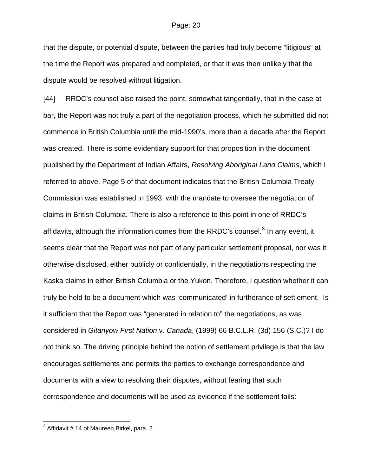that the dispute, or potential dispute, between the parties had truly become "litigious" at the time the Report was prepared and completed, or that it was then unlikely that the dispute would be resolved without litigation.

[44] RRDC's counsel also raised the point, somewhat tangentially, that in the case at bar, the Report was not truly a part of the negotiation process, which he submitted did not commence in British Columbia until the mid-1990's, more than a decade after the Report was created. There is some evidentiary support for that proposition in the document published by the Department of Indian Affairs, *Resolving Aboriginal Land Claims*, which I referred to above. Page 5 of that document indicates that the British Columbia Treaty Commission was established in 1993, with the mandate to oversee the negotiation of claims in British Columbia. There is also a reference to this point in one of RRDC's affidavits, although the information comes from the RRDC's counsel.<sup>[3](#page-19-0)</sup> In any event, it seems clear that the Report was not part of any particular settlement proposal, nor was it otherwise disclosed, either publicly or confidentially, in the negotiations respecting the Kaska claims in either British Columbia or the Yukon. Therefore, I question whether it can truly be held to be a document which was 'communicated' in furtherance of settlement. Is it sufficient that the Report was "generated in relation to" the negotiations, as was considered in *Gitanyow First Nation* v. *Canada*, (1999) 66 B.C.L.R. (3d) 156 (S.C.)? I do not think so. The driving principle behind the notion of settlement privilege is that the law encourages settlements and permits the parties to exchange correspondence and documents with a view to resolving their disputes, without fearing that such correspondence and documents will be used as evidence if the settlement fails:

<span id="page-19-0"></span> 3 Affidavit # 14 of Maureen Birkel, para. 2.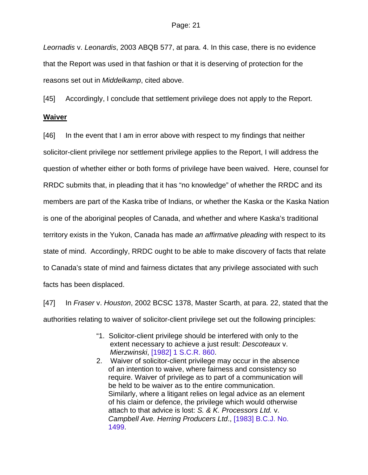*Leornadis* v. *Leonardis*, 2003 ABQB 577, at para. 4. In this case, there is no evidence that the Report was used in that fashion or that it is deserving of protection for the reasons set out in *Middelkamp*, cited above.

[45] Accordingly, I conclude that settlement privilege does not apply to the Report. **Waiver**

[46] In the event that I am in error above with respect to my findings that neither solicitor-client privilege nor settlement privilege applies to the Report, I will address the question of whether either or both forms of privilege have been waived. Here, counsel for RRDC submits that, in pleading that it has "no knowledge" of whether the RRDC and its members are part of the Kaska tribe of Indians, or whether the Kaska or the Kaska Nation is one of the aboriginal peoples of Canada, and whether and where Kaska's traditional territory exists in the Yukon, Canada has made *an affirmative pleading* with respect to its state of mind. Accordingly, RRDC ought to be able to make discovery of facts that relate to Canada's state of mind and fairness dictates that any privilege associated with such facts has been displaced.

[47] In *Fraser* v. *Houston*, 2002 BCSC 1378, Master Scarth, at para. 22, stated that the authorities relating to waiver of solicitor-client privilege set out the following principles:

- "1. Solicitor-client privilege should be interfered with only to the extent necessary to achieve a just result: *Descoteaux* v. *Mierzwinski*, [\[1982\] 1 S.C.R. 860](http://www.lexisnexis.com/ca/legal/search/runRemoteLink.do?service=citation&langcountry=CA&risb=21_T5575161322&A=0.6166432400519278&linkInfo=F%23CA%23SCR%23year%251982%25page%25860%25vol%251%25sel2%251%25sel1%251982%25&bct=A).
- 2. Waiver of solicitor-client privilege may occur in the absence of an intention to waive, where fairness and consistency so require. Waiver of privilege as to part of a communication will be held to be waiver as to the entire communication. Similarly, where a litigant relies on legal advice as an element of his claim or defence, the privilege which would otherwise attach to that advice is lost: *S. & K. Processors Ltd.* v. *Campbell Ave. Herring Producers Ltd*., [\[1983\] B.C.J. No.](http://www.lexisnexis.com/ca/legal/search/runRemoteLink.do?service=citation&langcountry=CA&risb=21_T5575161322&A=0.6294160207975771&linkInfo=F%23CA%23BCJ%23ref%251499%25year%251983%25sel1%251983%25&bct=A)  [1499.](http://www.lexisnexis.com/ca/legal/search/runRemoteLink.do?service=citation&langcountry=CA&risb=21_T5575161322&A=0.6294160207975771&linkInfo=F%23CA%23BCJ%23ref%251499%25year%251983%25sel1%251983%25&bct=A)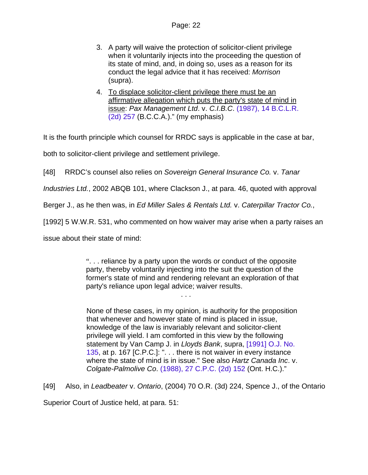- 3. A party will waive the protection of solicitor-client privilege when it voluntarily injects into the proceeding the question of its state of mind, and, in doing so, uses as a reason for its conduct the legal advice that it has received: *Morrison* (supra).
- 4. To displace solicitor-client privilege there must be an affirmative allegation which puts the party's state of mind in issue: *Pax Management Ltd*. v. *C.I.B.C*. [\(1987\), 14 B.C.L.R.](http://www.lexisnexis.com/ca/legal/search/runRemoteLink.do?service=citation&langcountry=CA&risb=21_T5575161322&A=0.6770939621063288&linkInfo=F%23CA%23BCLR2%23year%251987%25page%25257%25decisiondate%251987%25vol%2514%25sel2%2514%25sel1%251987%25&bct=A)  [\(2d\) 257](http://www.lexisnexis.com/ca/legal/search/runRemoteLink.do?service=citation&langcountry=CA&risb=21_T5575161322&A=0.6770939621063288&linkInfo=F%23CA%23BCLR2%23year%251987%25page%25257%25decisiondate%251987%25vol%2514%25sel2%2514%25sel1%251987%25&bct=A) (B.C.C.A.)." (my emphasis)

It is the fourth principle which counsel for RRDC says is applicable in the case at bar,

both to solicitor-client privilege and settlement privilege.

[48] RRDC's counsel also relies on *Sovereign General Insurance Co.* v. *Tanar* 

*Industries Ltd.*, 2002 ABQB 101, where Clackson J., at para. 46, quoted with approval

Berger J., as he then was, in *Ed Miller Sales & Rentals Ltd.* v. *Caterpillar Tractor Co.*,

[1992] 5 W.W.R. 531, who commented on how waiver may arise when a party raises an

issue about their state of mind:

". . . reliance by a party upon the words or conduct of the opposite party, thereby voluntarily injecting into the suit the question of the former's state of mind and rendering relevant an exploration of that party's reliance upon legal advice; waiver results.

. . .

None of these cases, in my opinion, is authority for the proposition that whenever and however state of mind is placed in issue, knowledge of the law is invariably relevant and solicitor-client privilege will yield. I am comforted in this view by the following statement by Van Camp J. in *Lloyds Bank*, supra, [\[1991\] O.J. No.](http://www.lexisnexis.com/ca/legal/search/runRemoteLink.do?service=citation&langcountry=CA&risb=21_T5575479910&A=0.049927327442406244&linkInfo=F%23CA%23OJ%23ref%25135%25year%251991%25sel1%251991%25&bct=A)  [135,](http://www.lexisnexis.com/ca/legal/search/runRemoteLink.do?service=citation&langcountry=CA&risb=21_T5575479910&A=0.049927327442406244&linkInfo=F%23CA%23OJ%23ref%25135%25year%251991%25sel1%251991%25&bct=A) at p. 167 [C.P.C.]: ". . . there is not waiver in every instance where the state of mind is in issue." See also *Hartz Canada Inc*. v. *Colgate-Palmolive Co*. [\(1988\), 27 C.P.C. \(2d\) 152](http://www.lexisnexis.com/ca/legal/search/runRemoteLink.do?service=citation&langcountry=CA&risb=21_T5575479910&A=0.5313708126633543&linkInfo=F%23CA%23CPC2%23year%251988%25page%25152%25decisiondate%251988%25vol%2527%25sel2%2527%25sel1%251988%25&bct=A) (Ont. H.C.)."

[49] Also, in *Leadbeater* v. *Ontario*, (2004) 70 O.R. (3d) 224, Spence J., of the Ontario

Superior Court of Justice held, at para. 51: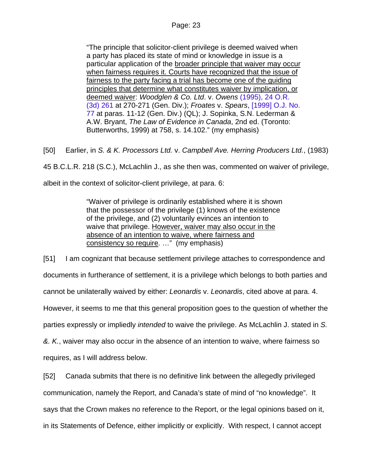"The principle that solicitor-client privilege is deemed waived when a party has placed its state of mind or knowledge in issue is a particular application of the broader principle that waiver may occur when fairness requires it. Courts have recognized that the issue of fairness to the party facing a trial has become one of the guiding principles that determine what constitutes waiver by implication, or deemed waiver: *Woodglen & Co. Ltd*. v. *Owens* [\(1995\), 24 O.R.](http://www.lexisnexis.com/ca/legal/search/runRemoteLink.do?service=citation&langcountry=CA&risb=21_T5586356407&A=0.37755229348778285&linkInfo=F%23CA%23OR3%23year%251995%25page%25261%25decisiondate%251995%25vol%2524%25sel2%2524%25sel1%251995%25&bct=A)  [\(3d\) 261](http://www.lexisnexis.com/ca/legal/search/runRemoteLink.do?service=citation&langcountry=CA&risb=21_T5586356407&A=0.37755229348778285&linkInfo=F%23CA%23OR3%23year%251995%25page%25261%25decisiondate%251995%25vol%2524%25sel2%2524%25sel1%251995%25&bct=A) at 270-271 (Gen. Div.); *Froates* v. *Spears*, [\[1999\] O.J. No.](http://www.lexisnexis.com/ca/legal/search/runRemoteLink.do?service=citation&langcountry=CA&risb=21_T5586356407&A=0.2645576009320222&linkInfo=F%23CA%23OJ%23ref%2577%25year%251999%25sel1%251999%25&bct=A)  [77](http://www.lexisnexis.com/ca/legal/search/runRemoteLink.do?service=citation&langcountry=CA&risb=21_T5586356407&A=0.2645576009320222&linkInfo=F%23CA%23OJ%23ref%2577%25year%251999%25sel1%251999%25&bct=A) at paras. 11-12 (Gen. Div.) (QL); J. Sopinka, S.N. Lederman & A.W. Bryant, *The Law of Evidence in Canada*, 2nd ed. (Toronto: Butterworths, 1999) at 758, s. 14.102." (my emphasis)

[50] Earlier, in *S. & K. Processors Ltd.* v. *Campbell Ave. Herring Producers Ltd.*, (1983)

45 B.C.L.R. 218 (S.C.), McLachlin J., as she then was, commented on waiver of privilege,

albeit in the context of solicitor-client privilege, at para. 6:

"Waiver of privilege is ordinarily established where it is shown that the possessor of the privilege (1) knows of the existence of the privilege, and (2) voluntarily evinces an intention to waive that privilege. However, waiver may also occur in the absence of an intention to waive, where fairness and consistency so require. …" (my emphasis)

[51] I am cognizant that because settlement privilege attaches to correspondence and documents in furtherance of settlement, it is a privilege which belongs to both parties and cannot be unilaterally waived by either: *Leonardis* v. *Leonardis*, cited above at para. 4. However, it seems to me that this general proposition goes to the question of whether the parties expressly or impliedly *intended* to waive the privilege. As McLachlin J. stated in *S. &. K.*, waiver may also occur in the absence of an intention to waive, where fairness so

requires, as I will address below.

[52] Canada submits that there is no definitive link between the allegedly privileged communication, namely the Report, and Canada's state of mind of "no knowledge". It says that the Crown makes no reference to the Report, or the legal opinions based on it, in its Statements of Defence, either implicitly or explicitly. With respect, I cannot accept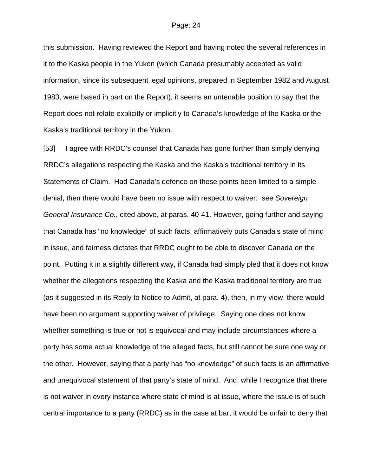this submission. Having reviewed the Report and having noted the several references in it to the Kaska people in the Yukon (which Canada presumably accepted as valid information, since its subsequent legal opinions, prepared in September 1982 and August 1983, were based in part on the Report), it seems an untenable position to say that the Report does not relate explicitly or implicitly to Canada's knowledge of the Kaska or the Kaska's traditional territory in the Yukon.

[53] I agree with RRDC's counsel that Canada has gone further than simply denying RRDC's allegations respecting the Kaska and the Kaska's traditional territory in its Statements of Claim. Had Canada's defence on these points been limited to a simple denial, then there would have been no issue with respect to waiver: see *Sovereign General Insurance Co.*, cited above, at paras. 40-41. However, going further and saying that Canada has "no knowledge" of such facts, affirmatively puts Canada's state of mind in issue, and fairness dictates that RRDC ought to be able to discover Canada on the point. Putting it in a slightly different way, if Canada had simply pled that it does not know whether the allegations respecting the Kaska and the Kaska traditional territory are true (as it suggested in its Reply to Notice to Admit, at para. 4), then, in my view, there would have been no argument supporting waiver of privilege. Saying one does not know whether something is true or not is equivocal and may include circumstances where a party has some actual knowledge of the alleged facts, but still cannot be sure one way or the other. However, saying that a party has "no knowledge" of such facts is an affirmative and unequivocal statement of that party's state of mind. And, while I recognize that there is not waiver in every instance where state of mind is at issue, where the issue is of such central importance to a party (RRDC) as in the case at bar, it would be unfair to deny that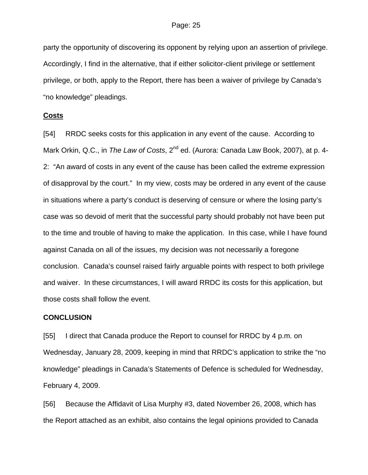party the opportunity of discovering its opponent by relying upon an assertion of privilege. Accordingly, I find in the alternative, that if either solicitor-client privilege or settlement privilege, or both, apply to the Report, there has been a waiver of privilege by Canada's "no knowledge" pleadings.

#### **Costs**

[54] RRDC seeks costs for this application in any event of the cause. According to Mark Orkin, Q.C., in *The Law of Costs*, 2<sup>nd</sup> ed. (Aurora: Canada Law Book, 2007), at p. 4-2: "An award of costs in any event of the cause has been called the extreme expression of disapproval by the court." In my view, costs may be ordered in any event of the cause in situations where a party's conduct is deserving of censure or where the losing party's case was so devoid of merit that the successful party should probably not have been put to the time and trouble of having to make the application. In this case, while I have found against Canada on all of the issues, my decision was not necessarily a foregone conclusion. Canada's counsel raised fairly arguable points with respect to both privilege and waiver. In these circumstances, I will award RRDC its costs for this application, but those costs shall follow the event.

#### **CONCLUSION**

[55] I direct that Canada produce the Report to counsel for RRDC by 4 p.m. on Wednesday, January 28, 2009, keeping in mind that RRDC's application to strike the "no knowledge" pleadings in Canada's Statements of Defence is scheduled for Wednesday, February 4, 2009.

[56] Because the Affidavit of Lisa Murphy #3, dated November 26, 2008, which has the Report attached as an exhibit, also contains the legal opinions provided to Canada